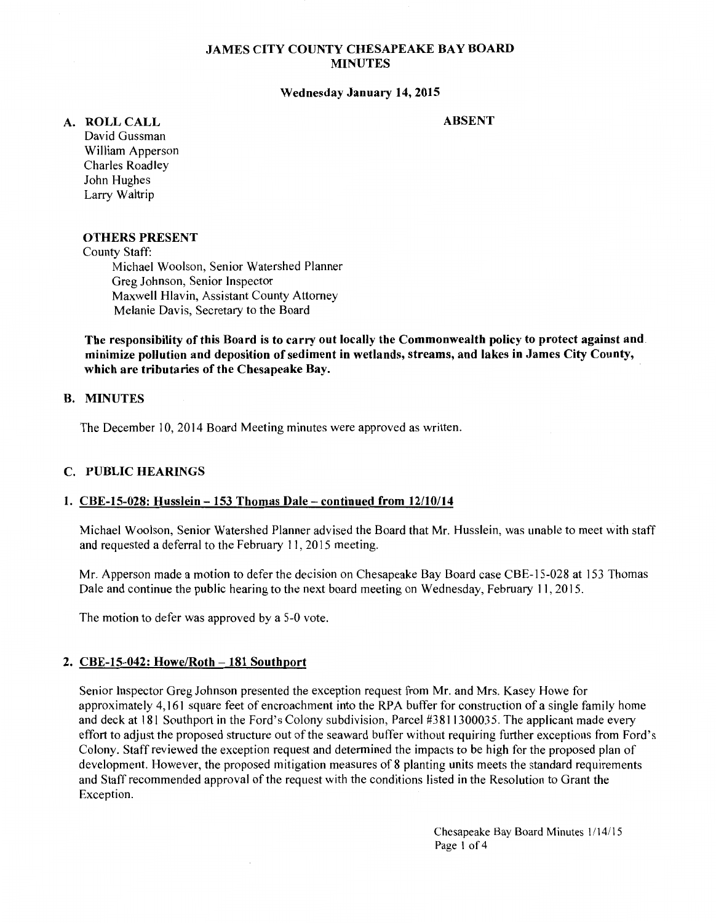## **JAMES CITY COUNTY CHESAPEAKE BAY BOARD MINUTES**

#### **Wednesday January 14, 2015**

#### **ABSENT**

- **A. ROLLCALL**  David Gussman
	- William Apperson Charles Roadley John Hughes Larry Waltrip

### **OTHERS PRESENT**

County Staff:

Michael Woolson, Senior Watershed Planner Greg Johnson, Senior Inspector Maxwell Hlavin, Assistant County Attorney Melanie Davis, Secretary to the Board

**The responsibility of this Board is to carry out locally the Commonwealth policy to protect against and minimize pollution and deposition of sediment in wetlands, streams, and lakes in James City County, which are tributaries of the Chesapeake Bay.** 

## **B. MINUTES**

The December 10,2014 Board Meeting minutes were approved as written.

#### **C. PUBLIC HEARINGS**

### **1. CBE-15-028: Husslein- 153 Thomas Dale- continued from 12/10/14**

Michael Woolson, Senior Watershed Planner advised the Board that Mr. Husslein, was unable to meet with staff and requested a deferral to the February 11, 2015 meeting.

Mr. Apperson made a motion to defer the decision on Chesapeake Bay Board case CBE-15-028 at 153 Thomas Dale and continue the public hearing to the next board meeting on Wednesday, February 11, 2015.

The motion to defer was approved by a 5-0 vote.

## **2. CBE-15-042: Howe/Roth -181 Southport**

Senior Inspector Greg Johnson presented the exception request from Mr. and Mrs. Kasey Howe for approximately 4,161 square feet of encroachment into the RPA buffer for construction of a single family home and deck at 181 Southport in the Ford's Colony subdivision, Parcel #3811300035. The applicant made every effort to adjust the proposed structure out of the seaward buffer without requiring further exceptions from Ford's Colony. Staff reviewed the exception request and determined the impacts to be high for the proposed plan of development. However, the proposed mitigation measures of 8 planting units meets the standard requirements and Staff recommended approval of the request with the conditions listed in the Resolution to Grant the Exception.

> Chesapeake Bay Board Minutes 1114/15 Page I of 4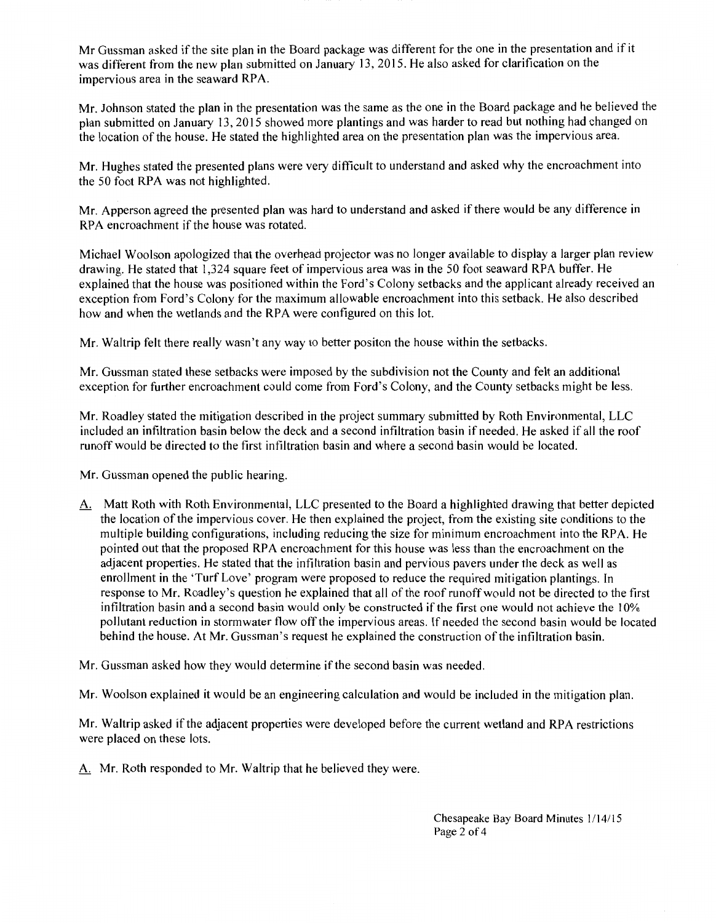Mr Gussman asked if the site plan in the Board package was different for the one in the presentation and if it was different from the new plan submitted on January 13, 2015. He also asked for clarification on the impervious area in the seaward RPA.

Mr. Johnson stated the plan in the presentation was the same as the one in the Board package and he believed the plan submitted on January 13, 2015 showed more plantings and was harder to read but nothing had changed on the location of the house. He stated the highlighted area on the presentation plan was the impervious area.

Mr. Hughes stated the presented plans were very difficult to understand and asked why the encroachment into the 50 foot RPA was not highlighted.

Mr. Apperson agreed the presented plan was hard to understand and asked if there would be any difference in RPA encroachment if the house was rotated.

Michael Woolson apologized that the overhead projector was no longer available to display a larger plan review drawing. He stated that 1,324 square feet of impervious area was in the 50 foot seaward RPA buffer. He explained that the house was positioned within the Ford's Colony setbacks and the applicant already received an exception from Ford's Colony for the maximum allowable encroachment into this setback. He also described how and when the wetlands and the RPA were configured on this lot.

Mr. Waltrip felt there really wasn't any way to better positon the house within the setbacks.

Mr. Gussman stated these setbacks were imposed by the subdivision not the County and felt an additional exception for further encroachment could come from Ford's Colony, and the County setbacks might be less.

Mr. Roadley stated the mitigation described in the project summary submitted by Roth Environmental, LLC included an infiltration basin below the deck and a second infiltration basin if needed. He asked if all the roof runoff would be directed to the first infiltration basin and where a second basin would be located.

Mr. Gussman opened the public hearing.

A. Matt Roth with Roth Environmental, LLC presented to the Board a highlighted drawing that better depicted the location of the impervious cover. He then explained the project, from the existing site conditions to the multiple building configurations, including reducing the size for minimum encroachment into the RPA. He pointed out that the proposed RPA encroachment for this house was less than the encroachment on the adjacent properties. He stated that the infiltration basin and pervious pavers under the deck as well as enrollment in the 'Turf Love' program were proposed to reduce the required mitigation plantings. In response to Mr. Roadley's question he explained that all of the roof runoff would not be directed to the first infiltration basin and a second basin would only be constructed if the first one would not achieve the 10% pollutant reduction in storm water flow off the impervious areas. [f needed the second basin would be located behind the house. At Mr. Gussman's request he explained the construction of the infiltration basin.

Mr. Gussman asked how they would determine if the second basin was needed.

Mr. Woolson explained it would be an engineering calculation and would be included in the mitigation plan.

Mr. Waltrip asked if the adjacent properties were developed before the current wetland and RPA restrictions were placed on these lots.

A. Mr. Roth responded to Mr. Waltrip that he believed they were.

Chesapeake Bay Board Minutes 1/14/15 Page 2 of 4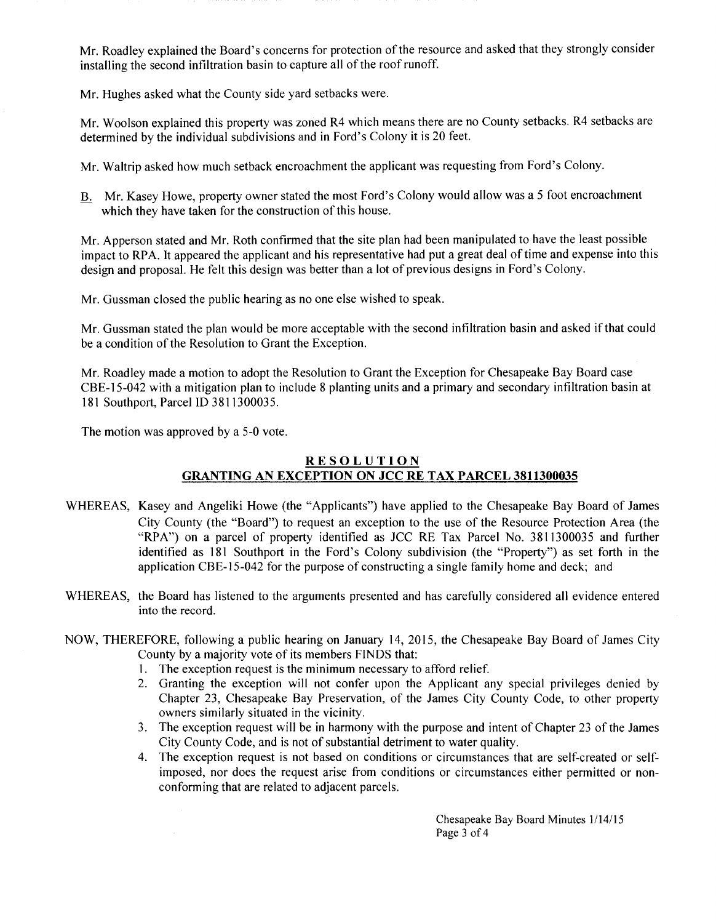Mr. Roadley explained the Board's concerns for protection of the resource and asked that they strongly consider installing the second infiltration basin to capture all of the roof runoff.

Mr. Hughes asked what the County side yard setbacks were.

Mr. Woolson explained this property was zoned R4 which means there are no County setbacks. R4 setbacks are determined by the individual subdivisions and in Ford's Colony it is 20 feet.

Mr. Waltrip asked how much setback encroachment the applicant was requesting from Ford's Colony.

B. Mr. Kasey Howe, property owner stated the most Ford's Colony would allow was a 5 foot encroachment which they have taken for the construction of this house.

Mr. Apperson stated and Mr. Roth confirmed that the site plan had been manipulated to have the least possible impact to RPA. It appeared the applicant and his representative had put a great deal of time and expense into this design and proposal. He felt this design was better than a lot of previous designs in Ford's Colony.

Mr. Gussman closed the public hearing as no one else wished to speak.

Mr. Gussman stated the plan would be more acceptable with the second infiltration basin and asked ifthat could be a condition of the Resolution to Grant the Exception.

Mr. Roadley made a motion to adopt the Resolution to Grant the Exception for Chesapeake Bay Board case CBE-15-042 with a mitigation plan to include 8 planting units and a primary and secondary infiltration basin at 181 Southport, Parcel ID 3811300035.

The motion was approved by a 5-0 vote.

# **RESOLUTION GRANTING AN EXCEPTION ON JCC RE TAX PARCEL 3811300035**

- WHEREAS, Kasey and Angeliki Howe (the "Applicants") have applied to the Chesapeake Bay Board of James City County (the "Board") to request an exception to the use of the Resource Protection Area (the "RPA") on a parcel of property identified as JCC RE Tax Parcel No. 3811300035 and further identified as 181 Southport in the Ford's Colony subdivision (the "Property") as set forth in the application CBE-15-042 for the purpose of constructing a single family home and deck; and
- WHEREAS, the Board has listened to the arguments presented and has carefully considered all evidence entered into the record.
- NOW, THEREFORE, following a public hearing on January 14, 2015, the Chesapeake Bay Board of James City County by a majority vote of its members FINDS that:
	- 1. The exception request is the minimum necessary to afford relief.
	- 2. Granting the exception will not confer upon the Applicant any special privileges denied by Chapter 23, Chesapeake Bay Preservation, of the James City County Code, to other property owners similarly situated in the vicinity.
	- 3. The exception request will be in harmony with the purpose and intent of Chapter 23 of the James City County Code, and is not of substantial detriment to water quality.
	- 4. The exception request is not based on conditions or circumstances that are self-created or selfimposed, nor does the request arise from conditions or circumstances either permitted or nonconforming that are related to adjacent parcels.

Chesapeake Bay Board Minutes 1/14/15 Page 3 of 4